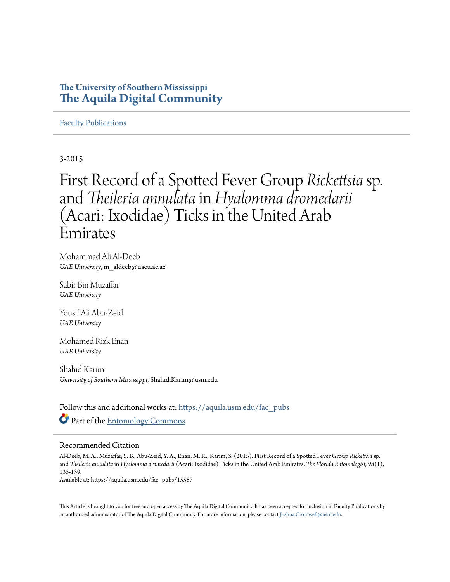## **The University of Southern Mississippi [The Aquila Digital Community](https://aquila.usm.edu?utm_source=aquila.usm.edu%2Ffac_pubs%2F15587&utm_medium=PDF&utm_campaign=PDFCoverPages)**

### [Faculty Publications](https://aquila.usm.edu/fac_pubs?utm_source=aquila.usm.edu%2Ffac_pubs%2F15587&utm_medium=PDF&utm_campaign=PDFCoverPages)

3-2015

## First Record of a Spotted Fever Group *Rickettsia*sp. and *Theileria annulata*in*Hyalomma dromedarii* (Acari: Ixodidae) Ticks in the United Arab Emirates

Mohammad Ali Al-Deeb *UAE University*, m\_aldeeb@uaeu.ac.ae

Sabir Bin Muzaffar *UAE University*

Yousif Ali Abu-Zeid *UAE University*

Mohamed Rizk Enan *UAE University*

Shahid Karim *University of Southern Mississippi*, Shahid.Karim@usm.edu

Follow this and additional works at: [https://aquila.usm.edu/fac\\_pubs](https://aquila.usm.edu/fac_pubs?utm_source=aquila.usm.edu%2Ffac_pubs%2F15587&utm_medium=PDF&utm_campaign=PDFCoverPages) Part of the [Entomology Commons](http://network.bepress.com/hgg/discipline/83?utm_source=aquila.usm.edu%2Ffac_pubs%2F15587&utm_medium=PDF&utm_campaign=PDFCoverPages)

### Recommended Citation

Al-Deeb, M. A., Muzaffar, S. B., Abu-Zeid, Y. A., Enan, M. R., Karim, S. (2015). First Record of a Spotted Fever Group *Rickettsia* sp. and *Theileria annulata* in *Hyalomma dromedarii* (Acari: Ixodidae) Ticks in the United Arab Emirates. *The Florida Entomologist, 98*(1), 135-139.

Available at: https://aquila.usm.edu/fac\_pubs/15587

This Article is brought to you for free and open access by The Aquila Digital Community. It has been accepted for inclusion in Faculty Publications by an authorized administrator of The Aquila Digital Community. For more information, please contact [Joshua.Cromwell@usm.edu](mailto:Joshua.Cromwell@usm.edu).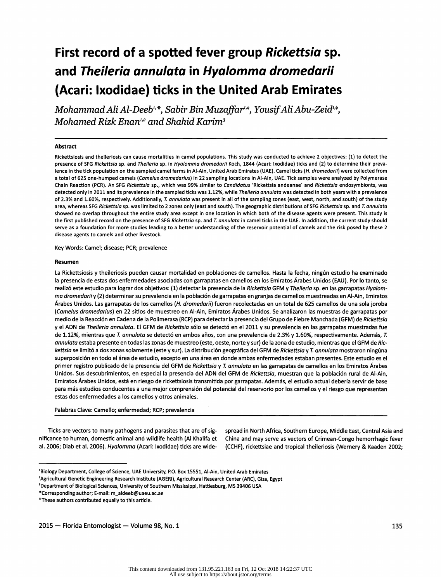# First record of a spotted fever group Rickettsia sp. and Theileria annulata in Hyalomma dromedarii (Acari: Ixodidae) ticks in the United Arab Emirates

Mohammad Ali Al-Deeb<sup>1,\*</sup>, Sabir Bin Muzaffar<sup>1, $\phi$ </sup>, Yousif Ali Abu-Zeid<sup>1, $\phi$ </sup>, Mohamed Rizk Enan<sup>1,2</sup> and Shahid Karim<sup>3</sup>

### Abstract

Rickettsiosis and theileriosis can cause mortalities in camel populations. This study was conducted to achieve 2 objectives: (1) to detect the presence of SFG Rickettsia sp. and Theileria sp. in Hyalomma dromedarii Koch, 1844 (Acari: Ixodidae) ticks and (2) to determine their prevalence in the tick population on the sampled camel farms in Al-Ain, United Arab Emirates (UAE). Camel ticks (H. dromedarii) were collected from a total of 625 one-humped camels (Camelus dromedarius) in 22 sampling locations in Al-Ain, UAE. Tick samples were analyzed by Polymerase Chain Reaction (PCR). An SFG Rickettsia sp., which was 99% similar to Candidatus 'Rickettsia andeanae' and Rickettsia endosymbionts, was detected only in 2011 and its prevalence in the sampled ticks was 1.12%, while Theileria annulata was detected in both years with a prevalence of 2.3% and 1.60%, respectively. Additionally, T. annulata was present in all of the sampling zones (east, west, north, and south) of the study area, whereas SFG Rickettsia sp. was limited to 2 zones only (east and south). The geographic distributions of SFG Rickettsia sp. and T. annulata showed no overlap throughout the entire study area except in one location in which both of the disease agents were present. This study is the first published record on the presence of SFG Rickettsia sp. and T. annulata in camel ticks in the UAE. In addition, the current study should serve as a foundation for more studies leading to a better understanding of the reservoir potential of camels and the risk posed by these 2 disease agents to camels and other livestock.

Key Words: Camel; disease; PCR; prevalence

### Resumen

 La Rickettsiosis y theileriosis pueden causar mortalidad en poblaciones de camellos. Hasta la fecha, ningún estudio ha examinado la presencia de estas dos enfermedades asociadas con garrapatas en camellos en los Emiratos Árabes Unidos (EAU). Por lo tanto, se realizó este estudio para lograr dos objetivos: (1) detectar la presencia de la Rickettsia GFM y Theileria sp. en las garrapatas Hyalom ma dromedariiy (2) determinar su prevalencia en la población de garrapatas en granjas de camellos muestreadas en Ai-Ain, Emiratos Árabes Unidos. Las garrapatas de los camellos (H. dromedarii) fueron recolectadas en un total de 625 camellos de una sola joroba (Camelus dromedarius) en 22 sitios de muestreo en Al-Ain, Emiratos Árabes Unidos. Se analizaron las muestras de garrapatas por medio de la Reacción en Cadena de la Polimerasa (RCP) para detectar la presencia del Grupo de Fiebre Manchada (GFM) de Rickettsia y el ADN de Theileria annulata. El GFM de Rickettsia sólo se detectó en el 2011 y su prevalencia en las garrapatas muestradas fue de 1.12%, mientras que T. annulata se detectó en ambos años, con una prevalencia de 2.3% y 1.60%, respectivamente. Además, T. annulata estaba presente en todas las zonas de muestreo (este, oeste, norte y sur) de la zona de estudio, mientras que el GFM de Ric kettsia se limitó a dos zonas solamente (este y sur). La distribución geográfica del GFM de Rickettsia y T. annulata mostraron ningúna superposición en todo el área de estudio, excepto en una área en donde ambas enfermedades estaban presentes. Este estudio es el primer registro publicado de la presencia del GFM de Rickettsia y T. annulata en las garrapatas de camellos en los Emiratos Árabes Unidos. Sus descubrimientos, en especial la presencia del ADN del GFM de Rickettsia, muestran que la población rural de Al-Ain, Emiratos Árabes Unidos, está en riesgo de rickettsiosis transmitida por garrapatas. Además, el estudio actual debería servir de base para más estudios conducentes a una mejor comprensión del potencial del reservorio por los camellos y el riesgo que representan estas dos enfermedades a los camellos y otros animales.

Palabras Clave: Camello; enfermedad; RCP; prevalencia

 Ticks are vectors to many pathogens and parasites that are of sig- spread in North Africa, Southern Europe, Middle East, Central Asia and nificance to human, domestic animal and wildlife health (Al Khalifa et China and may serve as vectors of Crimean-Congo hemorrhagic fever<br>al. 2006; Diab et al. 2006). Hyalomma (Acari: Ixodidae) ticks are wide- (CCHF), ricke

(CCHF), rickettsiae and tropical theileriosis (Wernery & Kaaden 2002;

 <sup>&#</sup>x27;Biology Department, College of Science, UAE University, P.O. Box 15551, Al-Ain, United Arab Emirates

 <sup>&#</sup>x27;Agricultural Genetic Engineering Research Institute (AGERI), Agricultural Research Center (ARC), Giza, Egypt

 <sup>&#</sup>x27;Department of Biological Sciences, University of Southern Mississippi, Hattiesburg, MS 39406 USA

 <sup>&</sup>quot;Corresponding author; E-mail: m\_aldeeb@uaeu.ac.ae

 <sup>&</sup>quot;These authors contributed equally to this article.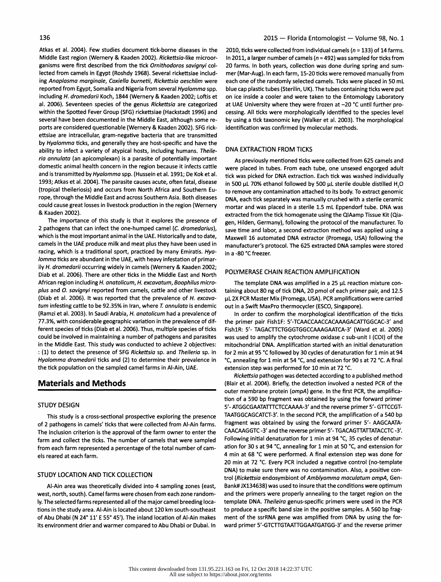Middle East region (Wernery & Kaaden 2002). Rickettsia-like microor-<br>ganisms were first described from the tick Ornithodoros savianvi colal. 2006). Seventeen species of the genus Rickettsia are categorized within the Spotted Fever Group (SFG) rickettsiae (Hackstadt 1996) and several have been documented in the Middle East, although some re-<br>ports are considered questionable (Wernery & Kaaden 2002). SFG rick-<br>identification was confirmed by molecular methods. ports are considered questionable (Wernery & Kaaden 2002). SFG rick ettsiae are intracellular, gram-negative bacteria that are transmitted by Hyalomma ticks, and generally they are host-specific and have the<br>ability to infect a variety of atypical bosts, including bumans, Theile. DNA EXTRACTION FROM TICKS ability to infect a variety of atypical hosts, including humans. Theile-<br>ria annulata (an apicomplexan) is a parasite of potentially important domestic animal health concern in the region because it infects cattle were placed in tubes. From each tube, one unsexed engorged adult<br>and is transmitted by *Hyalomma* spp. (Hussein et al. 1991; De Kok et al. tick was pic and is transmitted by Hyalomma spp. (Hussein et al. 1991; De Kok et al. was picked for DNA extraction. Each tick was washed individually<br>1993; Atkas et al. 2004). The parasite causes acute, often fatal, disease in 500 µL 7 1993; Atkas et al. 2004). The parasite causes acute, often fatal, disease<br>(tropical theileriosis) and occurs from North Africa and Southern Eu-(tropical theileriosis) and occurs from North Africa and Southern Eu-<br>To remove any contamination attached to its body. To extract genomic rope, through the Middle East and across rope, through the Middle East and across Southern Asia. Both diseases pna, each tick separately was manually crushed with a sterile ceramic<br>Could cause great losses in livestock production in the region (Wernery program an could cause great losses in livestock production in the region (Wernery emortar and was placed in a sterile 1.5 mL Eppendorf tube. DNA was<br>Ne Kaaden 2002).

The importance of this study is that it explores the presence of gen, Hilden, Germany), following the protocol of the manufacturer. To<br>2 pathogens that can infect the one-humped camel (C. dromedarius), save time and labor, 2 pathogens that can infect the one-humped camel (C. dromedarius), save time and labor, a second extraction method was applied using a<br>Which is the most important animal in the UAE. Historically and to date, Maxwell 16 aut which is the most important animal in the UAE. Historically and to date, Maxwell 16 automated DNA extractor (Promega, USA) following the<br>Camels in the UAE produce milk and meat plus they have been used in manufacturer's pr racing, which is a traditional sport, practiced by many Emiratis. Hyalomma ticks are abundant in the UAE, with heavy infestation of primarily H. dromedarii occurring widely in camels (Wernery & Kaaden 2002;<br>Dish at al. 2006). There are athen tisks in the Middle Fast and Napthy. POLYMERASE CHAIN REACTION AMPLIFICATION Diab et al. 2006). There are other ticks in the Middle East and North African region including *H. anatolicum, H. excavatum, Boophilus micro*-<br>
plus and O. savignyi reported from camels, cattle and other livestock taining about 80 ng of tick DNA, 20 pmol of each primer pair, and 12.5 (Diab et al. 2006). It was reported that the prevalence of H. excava- µL 2X PCR Master Mix (Promega, USA). PCR amplifications tum infesting cattle to be 92.35% in Iran, where T. annulata is endemic out in a Swift MaxPro th tum infesting cattle to be 92.35% in Iran, where T. annulata is endemic (Ramzi et al. 2003). In Saudi Arabia, H. anatolicum had a prevalence of (Ramzi et al. 2003). In Saudi Arabia, H. anatolicum had a prevalence of limit order to confirm the morphological identification of the ticks (Ramz) (Ramz) and the sicks and the sicks and the sicks and the prevalence of dif 77.3%, with considerable geographic variation in the prevalence of dif- the primer pair FishlF: 5'-TCAACCAACCACAAAGACATTGGCAC-3' and ferent species of ticks (Diab et al. 2006). Thus, multiple species of ticks Fish1R: 5'- TAGACTTCTGGGTGGCCAAAGAATCA-3' (Ward et al. 2005)<br>could be involved in maintaining a number of pathogens and parasites was used to ampl could be involved in maintaining a number of pathogens and parasites was used to amplify the cytochrome oxidase c sub-unit I (COI) of the in the Middle East. This study was conducted to achieve 2 objectives: mitochondrial DNA. Amplification started with an initial denaturation<br>(1) to detect the presence of SFG Rickettsia sp. and Theileria sp. in for 2 min at Hyalomma dromedarii ticks and (2) to determine their prevalence in °C, annealing for 1 min at 54 °C, and extension for 90 s at 72 °C. A final the tick population on the sampled camel farms in Al-Ain, UAE. extension step was performed for 10 min at 72 °C.

of 2 pathogens in camels' ticks that were collected from Al-Ain farms. Fragment was obtained by using the forward primer 5'- AAGCAATA-<br>The inclusion criterion is the annroval of the farm owner to enter the CAACAAGGTC-3' an The inclusion criterion is the approval of the farm owner to enter the CAACAAGGTC-3' and the reverse primer 5'- TGACAGTTATTATACCTC-3'.<br>Farm and collect the ticks. The number of camels that were sampled Following initial de farm and collect the ticks. The number of camels that were sampled Following initial denaturation for 1 min at 94 °C, 35 cycles of denatur-<br>from each farm represented a percentage of the total number of cam- ation for 30 s from each farm represented a percentage of the total number of camels reared at each farm. 4 min at 68 °c were performed. A final extension step was done for

### STUDY LOCATION AND TICK COLLECTION

 west, north, south). Camel farms were chosen from each zone random- and the primers were properly annealing to the target region on the ly. The selected farms represented all ofthe major camel breeding loca- template DNA. Theileira genus-specific primers were used in the PCR rions in the study area. Al-Ain is located about 120 km south-southeast to produce a specific band size in the positive samples. A 560 bp frag of Abu Dhabi (N 24° 11' E 55° 45'). The inland location of Al-Ain makes ment of the ssrRNA gene was amplified from DNA by using the for its environment drier and warmer compared to Abu Dhabi or Dubai. In ward primer 5'-GTCTTGTAATTGGAATGATGG-3' and the reverse primer

Atkas et al. 2004). Few studies document tick-borne diseases in the 2010, ticks were collected from individual camels (n = 133) of 14 farms.<br>Middle East region (Wernery & Kaaden 2002). Rickettsig-like microor- In 2011, a l 20 farms. In both years, collection was done during spring and sum-<br>mer (Mar-Aug). In each farm, 15-20 ticks were removed manually from lected from camels in Egypt (Roshdy 1968). Several rickettsiae includ- mer (Mar-Aug). In each farm, 15-20 ticks were removed manually from<br>ing Anaplasma marginale, Coxiella burnetii, Rickettsia geschlim were each one of th ing Anaplasma marginale, Coxiella burnetii, Rickettsia aeschlim were each one of the randomly selected camels. Ticks were placed in 50 mL<br>reported from Egypt, Somalia and Nigeria from several Hyalomma spp. blue cap plastic reported from Egypt, Somalia and Nigeria from several Hyalomma spp. blue cap plastic tubes (Sterilin, UK). The tubes containing ticks were put including H. dromedarii Koch, 1844 (Wernery & Kaaden 2002; Loftis et on ice ins including H. dromedarii Koch, 1844 (Wernery & Kaaden 2002; Loftis et on ice inside a cooler and were taken to the Entomology Laboratory<br>al. 2006). Seventeen species of the genus Rickettsia are categorized at UAE University cessing. All ticks were morphologically identified to the species level<br>by using a tick taxonomic key (Walker et al. 2003). The morphological

As previously mentioned ticks were collected from 625 camels and<br>were placed in tubes. From each tube, one unsexed engorged adult extracted from the tick homogenate using the QIAamp Tissue Kit (Qia-<br>The importance of this study is that it explores the presence of sen Hilden Germany) following the protocol of the manufacturer To manufacturer's protocol. The 625 extracted DNA samples were stored in a-80 °C freezer.

taining about 80 ng of tick DNA, 20 pmol of each primer pair, and 12.5<br>µL 2X PCR Master Mix (Promega, USA). PCR amplifications were carried

for 2 min at 95 °C followed by 30 cycles of denaturation for 1 min at 94

 Rickettsia pathogen was detected according to a published method **Materials and Methods** (Blair et al. 2004). Briefly, the detection involved a nested PCR of the outer membrane protein (ompA) gene. In the first PCR, the amplifica tion of a 590 bp fragment was obtained by using the forward primer STUDY DESIGN<br>5'- ATGGCGAATATTTCTCCAAAA-3' and the reverse primer 5'- GTTCCGT-<br>This study is a cross-sectional prospective exploring the presence TAATGGCAGCATCT-3'. In the second PCR, the amplification of a 540 bp This study is a cross-sectional prospective exploring the presence TAATGGCAGCATCT-3'. In the second PCR, the amplification of a 540 bp<br>I pathogens in camels' ticks that were collected from Al-Ain farms fragment was obtaine 20 min at 72 °C. Every PCR included a negative control (no-template DNA) to make sure there was no contamination. Also, a positive con trol (Rickettsia endosymbiont of Amblyomma maculatum ompA, Gen Al-Ain area was theoretically divided into 4 sampling zones (east. Bank# JX134638) was used to insure that the conditions were optimum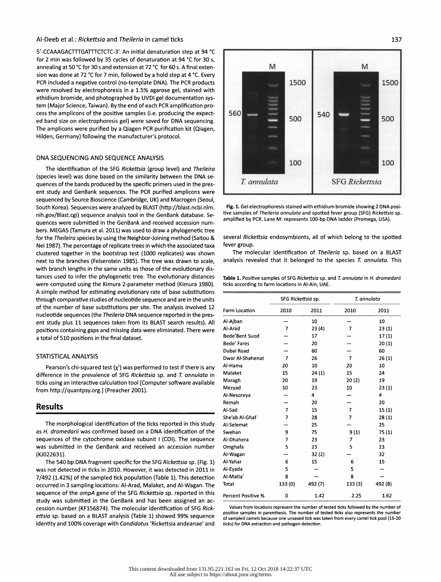### Al-Deeb et al.: Rickettsia and Theileria in camel ticks

5'-CCAAAGACTTTGATTTCTCTC-3'. An initial denaturation step at 94 °C for 2 min was followed by 35 cycles of denaturation at 94 °C for 30 s, annealing at 50 °C for 30 s and extension at 72 °C for 60 s. A final exten sion was done at 72 °C for 7 min, followed by a hold step at 4 °C. Every PCR included a negative control (no-template DNA). The PCR products were resolved by electrophoresis in a 1.5% agarose gel, stained with ethidium bromide, and photographed by UVDI gel documentation sys tem (Major Science, Taiwan). By the end of each PCR amplification pro-<br>cess the amplicons of the positive samples (i.e. producing the expect-<br>560 cess the amplicons of the positive samples (i.e. producing the expect ed band size on electrophoresis gel) were saved for DNA sequencing. The amplicons were purified by a Qiagen PCR purification kit (Qiagen, Hilden, Germany) following the manufacturer's protocol.

### DNA SEQUENCING AND SEQUENCE ANALYSIS

 The identification of the SFG Rickettsia (group level) and Theileira (species level) was done based on the similarity between the DNA se quences of the bands produced by the specific primers used in the pres ent study and GenBank sequences. The PCR purified amplicons were sequenced by Source Bioscience (Cambridge, UK) and Macrogen (Seoul, South Korea). Sequences were analyzed by BLAST (http://blast.ncbi.nlm. nih.gov/Blast.cgi) sequence analysis tool in the GenBank database. Se quences were submitted in the GenBank and received accession num bers. MEGA5 (Tamura et al. 2011) was used to draw a phylogenetic tree for the Theileira species by using the Neighbor-Joining method (Saitou & Nei 1987). The percentage of replicate trees in which the associated taxa clustered together in the bootstrap test (1000 replicates) was shown next to the branches (Felsenstein 1985). The tree was drawn to scale, with branch lengths in the same units as those of the evolutionary dis tances used to infer the phylogenetic tree. The evolutionary distances were computed using the Kimura 2-parameter method (Kimura 1980). A simple method for estimating evolutionary rate of base substitutions through comparative studies of nucleotide sequence and are in the units of the number of base substitutions per site. The analysis involved 12 nucleotide sequences (the Theileria DNA sequence reported in the pres ent study plus 11 sequences taken from its BLAST search results). All positions containing gaps and missing data were eliminated. There were a total of 510 positions in the final dataset.

### STATISTICAL ANALYSIS

Pearson's chi-squared test  $(x^2)$  was performed to test if there is any difference in the prevalence of SFG Rickettsia sp. and T. annulata in ticks using an interactive calculation tool [Computer software available from http://quantpsy.org.] (Preacher 2001).

### Results

The morphological identification of the ticks reported in this study as H. dromedarii was confirmed based on a DNA identification of the sequences of the cytochrome oxidase subunit I (COI). The sequence was submitted in the GenBank and received an accession number (KJ022631).

 The 540 bp DNA fragment specific for the SFG Rickettsia sp. (Fig. 1) was not detected in ticks in 2010. However, it was detected in 2011 in 7/492 (1.42%) of the sampled tick population (Table 1). This detection occurred in 3 sampling locations: Al-Arad, Malaket, and Al-Wagan. The sequence of the ompA gene of the SFG Rickettsia sp. reported in this study was submitted in the GenBank and has been assigned an ac cession number (KF156874). The molecular identification of SFG Rick ettsia sp. based on a BLAST analysis (Table 1) showed 99% sequence identity and 100% coverage with Candidatus 'Rickettsia andeanae' and



 Fig. 1. Gel electrophoresis stained with ethidium bromide showing 2 DNA posi tive samples of Theileria annulata and spotted fever group (SFG) Rickettsia sp. amplified by PCR. Lane M: represents 100-bp DNA ladder (Promega, USA).

 several Rickettsia endosymbionts, all of which belong to the spotted fever group.

The molecular identification of Theileria sp. based on a BLAST analysis revealed that it belonged to the species  $T$ . annulata. This

Table 1. Positive samples of SFG Rickettsia sp. and T. annulata in H. dromedarii ticks according to farm locations in Ai-Ain, UAE.

| Farm Location             | SFG Rickettsia sp. |         | T. annulata    |         |
|---------------------------|--------------------|---------|----------------|---------|
|                           | 2010               | 2011    | 2010           | 2011    |
| Al-Ajban                  |                    | 10      |                | 10      |
| Al-Arad                   | 7                  | 23(4)   | 7              | 23(1)   |
| <b>Bede'Bent Suod</b>     |                    | 17      |                | 17(1)   |
| <b>Bede' Fares</b>        |                    | 20      |                | 20(1)   |
| Dubai Road                |                    | 60      |                | 60      |
| Dwar Al-Shahenat          | $\overline{7}$     | 26      | $\overline{7}$ | 26(1)   |
| Al-Hama                   | 20                 | 10      | 20             | 10      |
| Malaket                   | 15                 | 24(1)   | 15             | 24      |
| Maragh                    | 20                 | 19      | 20(2)          | 19      |
| Mezyad                    | 10                 | 23      | 10             | 23(1)   |
| Al-Nesoreya               |                    | 4       |                | 4       |
| Remah                     |                    | 20      |                | 20      |
| Al-Sad                    | $\overline{7}$     | 15      | 7              | 15(1)   |
| She'ab Al-Ghaf            | 7                  | 28      | 7              | 28(1)   |
| Al-Selemat                |                    | 25      |                | 25      |
| Swehan                    | 9                  | 75      | 9(1)           | 75 (1)  |
| Al-Dhahera                | 7                  | 23      | 7              | 23      |
| Omghafa                   | 5                  | 23      | 5              | 23      |
| Al-Wagan                  |                    | 32(2)   |                | 32      |
| Al-Yahar                  | 6                  | 15      | 6              | 15      |
| Al-Eyada                  | 5                  |         | 5              |         |
| Al-Matla'                 | 8                  |         | 8              |         |
| Total                     | 133 (0)            | 492 (7) | 133(3)         | 492 (8) |
| <b>Percent Positive %</b> | 0                  | 1.42    | 2.25           | 1.62    |

 Values from locations represent the number of tested ticks followed by the number of positive samples in parenthesis. The number of tested ticks also represents the number of sampled camels because one unsexed tick was taken from every camel tick pool (15-20 ticks) for DNA extraction and pathogen detection.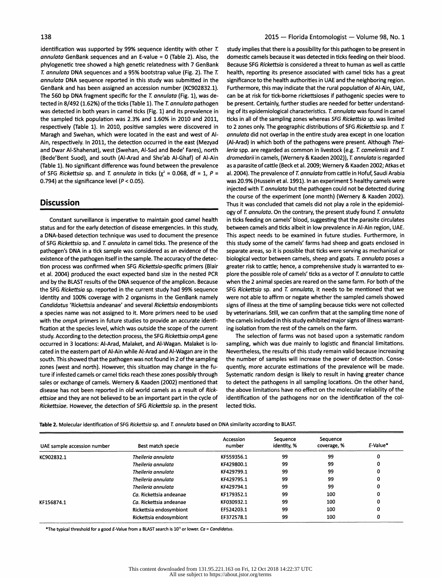identification was supported by 99% sequence identity with other T. study implies that there is a possibility for this pathogen to be present in<br> *annulata* GenBank sequences and an E-value = 0 (Table 2). Also, the domesti respectively (Table 1). In 2010, positive samples were discovered in Maragh and Swehan. which were located in the east and west of Alof SFG Rickettsia sp. and T. annulata in ticks ( $\chi^2$  = 0.068, df = 1, P = 0.794) at the significance level (P < 0.05).

a DNA-based detection technique was used to document the presence This aspect needs to be examined in future studies. Furthermore, in<br>of SFG Rickettsia sp. and T. annulata in camel ticks. The presence of the this study som of SFG Rickettsia sp. and T. annulata in camel ticks. The presence of the this study some of the camels' farms had sheep and goats enclosed in pathogen's DNA in a tick sample was considered as an evidence of the separate a pathogen's DNA in a tick sample was considered as an evidence of the separate areas, so it is possible that ticks were serving as mechanical or existence of the pathogen itself in the sample. The accuracy of the detec-<br>exi existence of the pathogen itself in the sample. The accuracy of the detec-<br>
tion process was confirmed when SFG Rickettsia-specific primers (Blair
reater risk to cattle: hence, a comprehensive study is warranted to extion process was confirmed when SFG Rickettsia-specific primers (Blair et al. 2004) produced the exact expected band size in the nested PCR and by the BLAST results of the DNA sequence of the amplicon. Because the SFG Rickettsia sp. reported in the current study had 99% sequence identity and 100% coverage with 2 organisms in the GenBank namely were not able to affirm or negate whether the sampled camels showed<br>Candidatus 'Rickettsia andeanae' and several Rickettsia endosymbionts signs of illness a Candidatus 'Rickettsia andeanae' and several Rickettsia endosymbionts as species name was not assigned to it. More primers need to be used with the *ompA* primers in future studies to provide an accurate identi- the camels included in this study exhibited major signenties in the samels on the farm.<br>fication at the species level, which was outside the scope of fication at the species level, which was outside the scope of the current ing isolation from the rest of the camels on the farm.<br>Study, According to the detection process, the SFG Rickettsia ompA gene The selection of farm study. According to the detection process, the SFG Rickettsia ompA gene<br>occurred in 3 locations: Al-Arad, Malaket, and Al-Wagan. Malaket is looccurred in 3 locations: Al-Arad, Malaket, and Al-Wagan. Malaket is lo- sampling, which was due mainly to logistic and financial limitations.<br>cated in the eastern part of Al-Ain while Al-Arad and Al-Wagan are in the Nevert cated in the eastern part of Al-Ain while Al-Arad and Al-Wagan are in the Nevertheless, the results of this study remain valid because increasing<br>south. This showed that the pathogen was not found in 2 of the sampling the south. This showed that the pathogen was not found in 2 of the sampling the number of samples will increase the power of detection. Conse-<br>zones (west and north). However, this situation may change in the fu- quently, more zones (west and north). However, this situation may change in the fu- quently, more accurate estimations of the prevalence will be made.<br>ture if infested camels or camel ticks reach these zones possibly through Systematic ture if infested camels or camel ticks reach these zones possibly through Systematic random design is likely to result in having greater chance<br>sales or exchange of camels. Wernery & Kaaden (2002) mentioned that to detect sales or exchange of camels. Wernery & Kaaden (2002) mentioned that to detect the pathogens in all sampling locations. On the other hand,<br>disease has not been reported in old world camels as a result of Rick-the above limi disease has not been reported in old world camels as a result of Rick-<br>ettsiae and they are not believed to be an important part in the cycle of identification of the pathogens nor on the identification of the col-Rickettsiae. However, the detection of SFG Rickettsia sp. in the present

annulata GenBank sequences and an E-value = 0 (Table 2). Also, the domestic camels because it was detected in ticks feeding on their blood.<br>
phylogenetic tree showed a high genetic relatedness with 7 GenBank Because SFG Ri phylogenetic tree showed a high genetic relatedness with 7 GenBank Because SFG Rickettsia is considered a threat to human as well as cattle <br>T. annulata DNA sequences and a 95% bootstrap value (Fig. 2). The T. health, repo T. annulata DNA sequences and a 95% bootstrap value (Fig. 2). The T. health, reporting its presence associated with camel ticks has a great annulata DNA sequence reported in this study was submitted in the significance to the health authorities in UAE and the neighboring region.<br>GenBank and has been assigned an accession number (KC902832.1). Furthermore, this GenBank and has been assigned an accession number (KC902832.1). Furthermore, this may indicate that the rural population of Al-Ain, UAE, The 560 bo DNA fragment specific for the *T. qnnulgta* (Fig. 1), was de-<br>The 560 bo D The 560 bp DNA fragment specific for the T. annulata (Fig. 1), was de- can be at risk for tick-borne rickettsioses if pathogenic species were to tected in 8/492 (1.62%) of the ticks (Table 1). The T. annulata pathogen be p tected in 8/492 (1.62%) of the ticks (Table 1). The T. annulata pathogen be present. Certainly, further studies are needed for better understand-<br>was detected in both vears in camel ticks (Fig. 1) and its prevalence in ing was detected in both years in camel ticks (Fig. 1) and its prevalence in ing of its epidemiological characteristics. T. annulata was found in camel<br>the sampled tick population was 2.3% and 1.60% in 2010 and 2011. ticks in ticks in all of the sampling zones whereas *SFG Rickettsia* sp. was limited to 2 zones only. The geographic distributions of SFG Rickettsia sp. and T. Maragh and Swehan, which were located in the east and west of AI- annulata did not overlap in the entire study area except in one location or extending the east of AI- annulata did not overlap in the entire study area exce Ain, respectively. In 2011, the detection occurred in the east (Mezyad (Al-Arad) in which both of the pathogens were present. Although Thei-<br>And Dwar Al-Shahenat), west (Swehan, Al-Sad and Bede' Fares), north lerig spp. ar and Dwar Al-Shahenat), west (Swehan, Al-Sad and Bede' Fares), north *leria* spp. are regarded as common in livestock (e.g. T. camelensis and T.<br>(Bede'Bent Suod), and south (Al-Arad and She'ab Al-Ghaf) of Al-Ain *dromedarii* (Bede'Bent Suod), and south (Al-Arad and She'ab Al-Ghaf) of Al-Ain dromedarii in camels, (Wernery & Kaaden 2002)), T. annulata is regarded<br>(Table 1). No significant difference was found between the prevalence as a parasite as a parasite of cattle (Beck et al. 2009; Wernery & Kaaden 2002; Atkas et al. 2004); The prevalence of T. annulata was 20.9% (Hussein et al. 1991). In an experiment 5 healthy camels were injected with T. annulata but the pathogen could not be detected during the course of the experiment (one month) (Wernery &. Kaaden 2002). Discussion Discussion Thus it was concluded that camels did not play a role in the epidemiology of T. annulata. On the contrary, the present study found T. annulata<br>Constant surveillance is imperative to maintain good camel health in ticks feeding on camels' blood. suggesting that the parasite circulates Constant surveillance is imperative to maintain good camel health in ticks feeding on camels' blood, suggesting that the parasite circulates status and for the early detection of disease emergencies. In this study. between between camels and ticks albeit in low prevalence in Al-Ain region, UAE.<br>This aspect needs to be examined in future studies. Furthermore, in plore the possible role of camels' ticks as a vector of T. annulata to cattle when the 2 animal species are reared on the same farm. For both of the SFG Rickettsia sp. and T. annulata, it needs to be mentioned that we were not able to affirm or negate whether the sampled camels showed by veterinarians. Still, we can confirm that at the sampling time none of the camels included in this study exhibited major signs of illness warrant-

identification of the pathogens nor on the identification of the collected ticks.

Table 2. Molecular identification of SFG Rickettsia sp. and T. annulata based on DNA similarity according to BLAST.

| UAE sample accession number | Best match specie       | <b>Accession</b><br>number | Sequence<br>identity, % | Sequence<br>coverage, % | E-Value* |
|-----------------------------|-------------------------|----------------------------|-------------------------|-------------------------|----------|
| KC902832.1                  | Theileria annulata      | KF559356.1                 | 99                      | 99                      | 0        |
|                             | Theileria annulata      | KF429800.1                 | 99                      | 99                      | 0        |
|                             | Theileria annulata      | KF429799.1                 | 99                      | 99                      | 0        |
|                             | Theileria annulata      | KF429795.1                 | 99                      | 99                      | 0        |
|                             | Theileria annulata      | KF429794.1                 | 99                      | 99                      | 0        |
|                             | Ca. Rickettsia andeanae | KF179352.1                 | 99                      | 100                     | 0        |
| KF156874.1                  | Ca. Rickettsia andeanae | KF030932.1                 | 99                      | 100                     | 0        |
|                             | Rickettsia endosymbiont | EF524203.1                 | 99                      | 100                     | 0        |
|                             | Rickettsia endosymbiont | EF372578.1                 | 99                      | 100                     | 0        |

The typical threshold for a good £-value from a BLAST search is 105 or